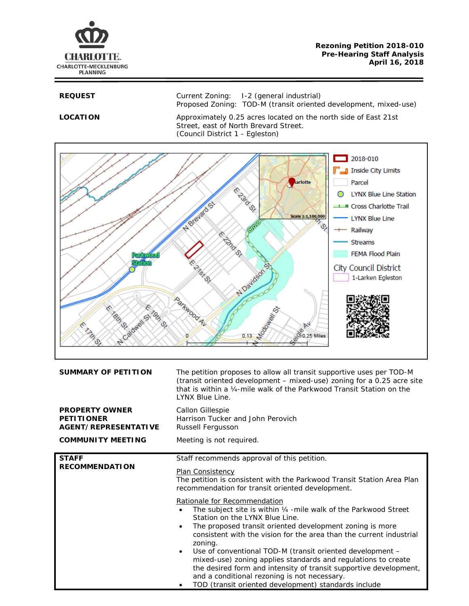

**REQUEST** Current Zoning: I-2 (general industrial) Proposed Zoning: TOD-M (transit oriented development, mixed-use)

LOCATION Approximately 0.25 acres located on the north side of East 21st Street, east of North Brevard Street. (Council District 1 - Egleston)



| <b>SUMMARY OF PETITION</b>                                                | The petition proposes to allow all transit supportive uses per TOD-M<br>(transit oriented development - mixed-use) zoning for a 0.25 acre site<br>that is within a 1/4-mile walk of the Parkwood Transit Station on the<br>LYNX Blue Line.                                                                                                                                                                                                                                                                                                                                                                                  |
|---------------------------------------------------------------------------|-----------------------------------------------------------------------------------------------------------------------------------------------------------------------------------------------------------------------------------------------------------------------------------------------------------------------------------------------------------------------------------------------------------------------------------------------------------------------------------------------------------------------------------------------------------------------------------------------------------------------------|
| <b>PROPERTY OWNER</b><br><b>PETITIONER</b><br><b>AGENT/REPRESENTATIVE</b> | Callon Gillespie<br>Harrison Tucker and John Perovich<br>Russell Fergusson                                                                                                                                                                                                                                                                                                                                                                                                                                                                                                                                                  |
| <b>COMMUNITY MEETING</b>                                                  | Meeting is not required.                                                                                                                                                                                                                                                                                                                                                                                                                                                                                                                                                                                                    |
| <b>STAFF</b><br><b>RECOMMENDATION</b>                                     | Staff recommends approval of this petition.<br>Plan Consistency<br>The petition is consistent with the Parkwood Transit Station Area Plan<br>recommendation for transit oriented development.                                                                                                                                                                                                                                                                                                                                                                                                                               |
|                                                                           | Rationale for Recommendation<br>The subject site is within 1/4 - mile walk of the Parkwood Street<br>Station on the LYNX Blue Line.<br>The proposed transit oriented development zoning is more<br>$\bullet$<br>consistent with the vision for the area than the current industrial<br>zoning.<br>Use of conventional TOD-M (transit oriented development -<br>$\bullet$<br>mixed-use) zoning applies standards and regulations to create<br>the desired form and intensity of transit supportive development,<br>and a conditional rezoning is not necessary.<br>TOD (transit oriented development) standards include<br>٠ |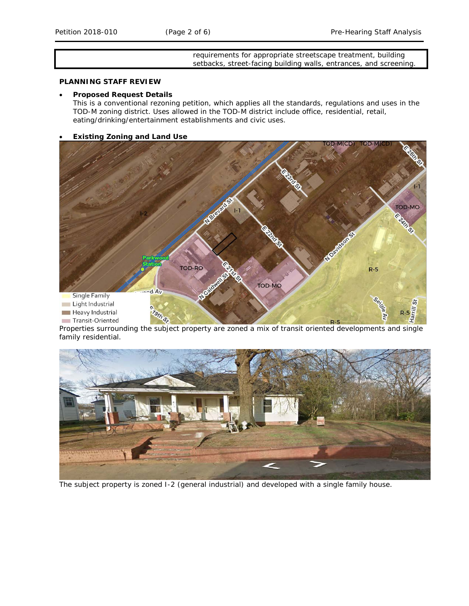## requirements for appropriate streetscape treatment, building setbacks, street-facing building walls, entrances, and screening.

# **PLANNING STAFF REVIEW**

## • **Proposed Request Details**

This is a conventional rezoning petition, which applies all the standards, regulations and uses in the TOD-M zoning district. Uses allowed in the TOD-M district include office, residential, retail, eating/drinking/entertainment establishments and civic uses.

## • **Existing Zoning and Land Use**



Properties surrounding the subject property are zoned a mix of transit oriented developments and single family residential.



The subject property is zoned I-2 (general industrial) and developed with a single family house.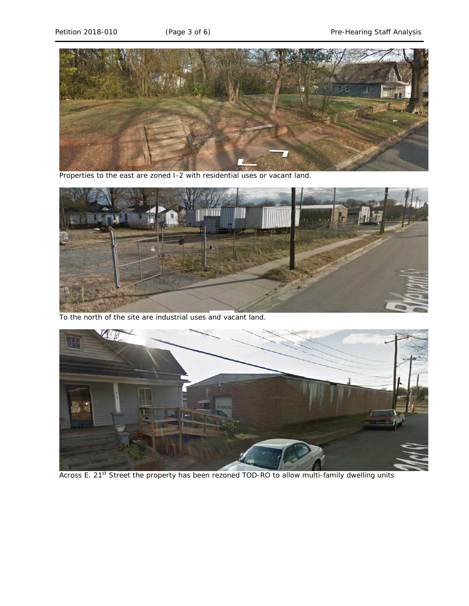

Properties to the east are zoned I-2 with residential uses or vacant land.



To the north of the site are industrial uses and vacant land.



Across E. 21<sup>st</sup> Street the property has been rezoned TOD-RO to allow multi-family dwelling units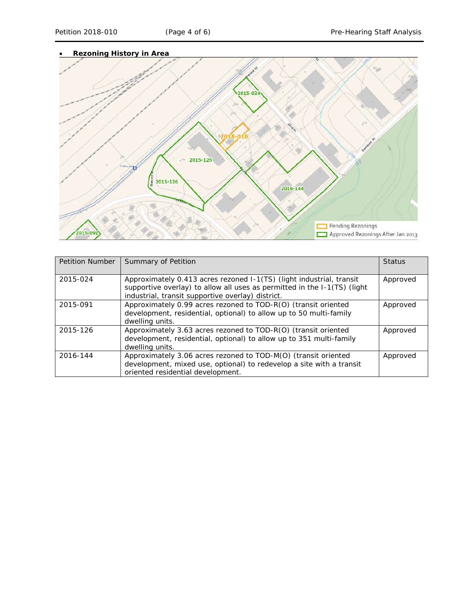

| <b>Petition Number</b> | Summary of Petition                                                                                                                                                                                   | <b>Status</b> |
|------------------------|-------------------------------------------------------------------------------------------------------------------------------------------------------------------------------------------------------|---------------|
| 2015-024               | Approximately 0.413 acres rezoned I-1(TS) (light industrial, transit<br>supportive overlay) to allow all uses as permitted in the I-1(TS) (light<br>industrial, transit supportive overlay) district. | Approved      |
| 2015-091               | Approximately 0.99 acres rezoned to TOD-R(O) (transit oriented<br>development, residential, optional) to allow up to 50 multi-family<br>dwelling units.                                               | Approved      |
| 2015-126               | Approximately 3.63 acres rezoned to TOD-R(O) (transit oriented<br>development, residential, optional) to allow up to 351 multi-family<br>dwelling units.                                              | Approved      |
| 2016-144               | Approximately 3.06 acres rezoned to TOD-M(O) (transit oriented<br>development, mixed use, optional) to redevelop a site with a transit<br>oriented residential development.                           | Approved      |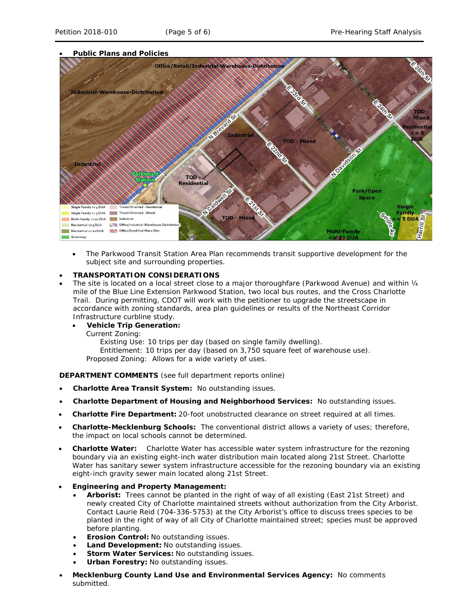# • **Public Plans and Policies**



• The *Parkwood Transit Station Area Plan* recommends transit supportive development for the subject site and surrounding properties.

# • **TRANSPORTATION CONSIDERATIONS**

- The site is located on a local street close to a major thoroughfare (Parkwood Avenue) and within 1/4 mile of the Blue Line Extension Parkwood Station, two local bus routes, and the Cross Charlotte Trail. During permitting, CDOT will work with the petitioner to upgrade the streetscape in accordance with zoning standards, area plan guidelines or results of the *Northeast Corridor Infrastructure* curbline study.
	- **Vehicle Trip Generation:**
	- Current Zoning:

Existing Use: 10 trips per day (based on single family dwelling). Entitlement: 10 trips per day (based on 3,750 square feet of warehouse use). Proposed Zoning: Allows for a wide variety of uses.

**DEPARTMENT COMMENTS** (see full department reports online)

- **Charlotte Area Transit System:** No outstanding issues.
- **Charlotte Department of Housing and Neighborhood Services:** No outstanding issues.
- **Charlotte Fire Department:** 20-foot unobstructed clearance on street required at all times.
- **Charlotte-Mecklenburg Schools:** The conventional district allows a variety of uses; therefore, the impact on local schools cannot be determined.
- **Charlotte Water:** Charlotte Water has accessible water system infrastructure for the rezoning boundary via an existing eight-inch water distribution main located along 21st Street. Charlotte Water has sanitary sewer system infrastructure accessible for the rezoning boundary via an existing eight-inch gravity sewer main located along 21st Street.
- **Engineering and Property Management:**
	- **Arborist:** Trees cannot be planted in the right of way of all existing (East 21st Street) and newly created City of Charlotte maintained streets without authorization from the City Arborist. Contact Laurie Reid (704-336-5753) at the City Arborist's office to discuss trees species to be planted in the right of way of all City of Charlotte maintained street; species must be approved before planting.
	- **Erosion Control:** No outstanding issues.
	- **Land Development:** No outstanding issues.
	- **Storm Water Services:** No outstanding issues.
	- **Urban Forestry:** No outstanding issues.
- **Mecklenburg County Land Use and Environmental Services Agency:** No comments submitted.